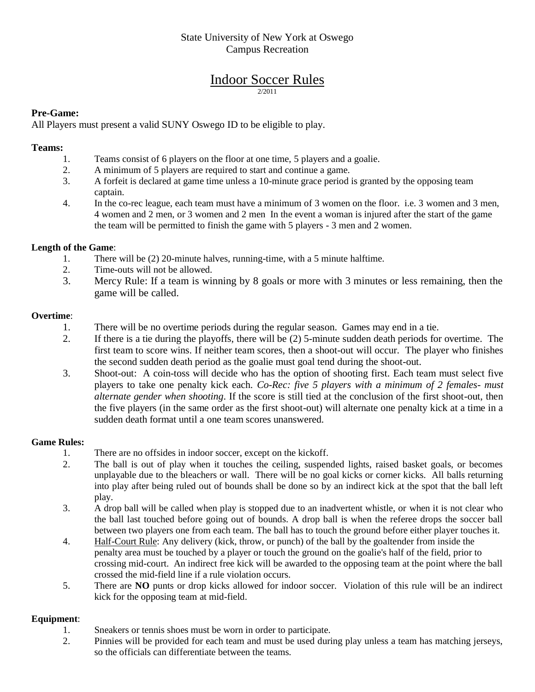# State University of New York at Oswego Campus Recreation

### Indoor Soccer Rules 2/2011

## **Pre-Game:**

All Players must present a valid SUNY Oswego ID to be eligible to play.

#### **Teams:**

- 1. Teams consist of 6 players on the floor at one time, 5 players and a goalie.
- 2. A minimum of 5 players are required to start and continue a game.
- 3. A forfeit is declared at game time unless a 10-minute grace period is granted by the opposing team captain.
- 4. In the co-rec league, each team must have a minimum of 3 women on the floor. i.e. 3 women and 3 men, 4 women and 2 men, or 3 women and 2 men In the event a woman is injured after the start of the game the team will be permitted to finish the game with 5 players - 3 men and 2 women.

## **Length of the Game**:

- 1. There will be (2) 20-minute halves, running-time, with a 5 minute halftime.<br>2. Time-outs will not be allowed.
- Time-outs will not be allowed.
- 3. Mercy Rule: If a team is winning by 8 goals or more with 3 minutes or less remaining, then the game will be called.

#### **Overtime**:

- 1. There will be no overtime periods during the regular season. Games may end in a tie.
- 2. If there is a tie during the playoffs, there will be (2) 5-minute sudden death periods for overtime. The first team to score wins. If neither team scores, then a shoot-out will occur. The player who finishes the second sudden death period as the goalie must goal tend during the shoot-out.
- 3. Shoot-out: A coin-toss will decide who has the option of shooting first. Each team must select five players to take one penalty kick each. *Co-Rec: five 5 players with a minimum of 2 females- must alternate gender when shooting*. If the score is still tied at the conclusion of the first shoot-out, then the five players (in the same order as the first shoot-out) will alternate one penalty kick at a time in a sudden death format until a one team scores unanswered.

#### **Game Rules:**

- 1. There are no offsides in indoor soccer, except on the kickoff.
- 2. The ball is out of play when it touches the ceiling, suspended lights, raised basket goals, or becomes unplayable due to the bleachers or wall. There will be no goal kicks or corner kicks. All balls returning into play after being ruled out of bounds shall be done so by an indirect kick at the spot that the ball left play.
- 3. A drop ball will be called when play is stopped due to an inadvertent whistle, or when it is not clear who the ball last touched before going out of bounds. A drop ball is when the referee drops the soccer ball between two players one from each team. The ball has to touch the ground before either player touches it.
- 4. Half-Court Rule: Any delivery (kick, throw, or punch) of the ball by the goaltender from inside the penalty area must be touched by a player or touch the ground on the goalie's half of the field, prior to crossing mid-court. An indirect free kick will be awarded to the opposing team at the point where the ball crossed the mid-field line if a rule violation occurs.
- 5. There are **NO** punts or drop kicks allowed for indoor soccer. Violation of this rule will be an indirect kick for the opposing team at mid-field.

## **Equipment**:

- 1. Sneakers or tennis shoes must be worn in order to participate.
- 2. Pinnies will be provided for each team and must be used during play unless a team has matching jerseys, so the officials can differentiate between the teams.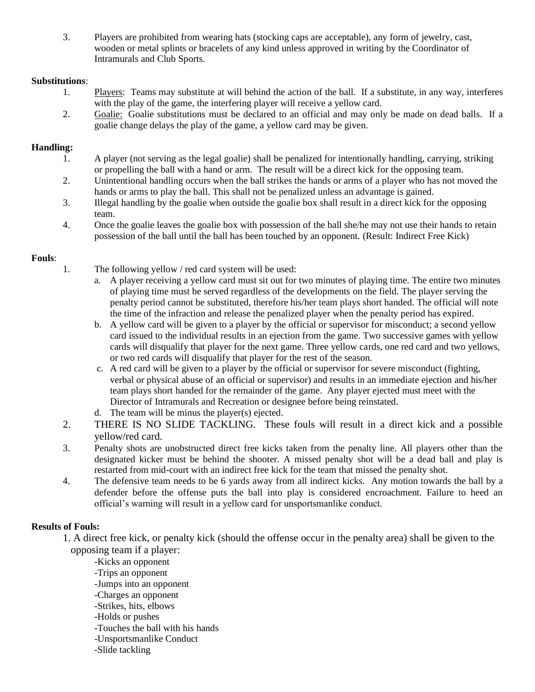3. Players are prohibited from wearing hats (stocking caps are acceptable), any form of jewelry, cast, wooden or metal splints or bracelets of any kind unless approved in writing by the Coordinator of Intramurals and Club Sports.

## **Substitutions**:

- 1. Players: Teams may substitute at will behind the action of the ball. If a substitute, in any way, interferes with the play of the game, the interfering player will receive a yellow card.
- 2. Goalie: Goalie substitutions must be declared to an official and may only be made on dead balls. If a goalie change delays the play of the game, a yellow card may be given.

## **Handling:**

- 1. A player (not serving as the legal goalie) shall be penalized for intentionally handling, carrying, striking or propelling the ball with a hand or arm. The result will be a direct kick for the opposing team.
- 2. Unintentional handling occurs when the ball strikes the hands or arms of a player who has not moved the hands or arms to play the ball. This shall not be penalized unless an advantage is gained.
- 3. Illegal handling by the goalie when outside the goalie box shall result in a direct kick for the opposing team.
- 4. Once the goalie leaves the goalie box with possession of the ball she/he may not use their hands to retain possession of the ball until the ball has been touched by an opponent. (Result: Indirect Free Kick)

## **Fouls**:

- 1. The following yellow / red card system will be used:
	- a. A player receiving a yellow card must sit out for two minutes of playing time. The entire two minutes of playing time must be served regardless of the developments on the field. The player serving the penalty period cannot be substituted, therefore his/her team plays short handed. The official will note the time of the infraction and release the penalized player when the penalty period has expired.
	- b. A yellow card will be given to a player by the official or supervisor for misconduct; a second yellow card issued to the individual results in an ejection from the game. Two successive games with yellow cards will disqualify that player for the next game. Three yellow cards, one red card and two yellows, or two red cards will disqualify that player for the rest of the season.
	- c. A red card will be given to a player by the official or supervisor for severe misconduct (fighting, verbal or physical abuse of an official or supervisor) and results in an immediate ejection and his/her team plays short handed for the remainder of the game. Any player ejected must meet with the Director of Intramurals and Recreation or designee before being reinstated.
	- d. The team will be minus the player(s) ejected.
- 2. THERE IS NO SLIDE TACKLING. These fouls will result in a direct kick and a possible yellow/red card.
- 3. Penalty shots are unobstructed direct free kicks taken from the penalty line. All players other than the designated kicker must be behind the shooter. A missed penalty shot will be a dead ball and play is restarted from mid-court with an indirect free kick for the team that missed the penalty shot.
- 4. The defensive team needs to be 6 yards away from all indirect kicks. Any motion towards the ball by a defender before the offense puts the ball into play is considered encroachment. Failure to heed an official's warning will result in a yellow card for unsportsmanlike conduct.

## **Results of Fouls:**

1. A direct free kick, or penalty kick (should the offense occur in the penalty area) shall be given to the opposing team if a player:

-Kicks an opponent -Trips an opponent -Jumps into an opponent -Charges an opponent -Strikes, hits, elbows -Holds or pushes -Touches the ball with his hands -Unsportsmanlike Conduct -Slide tackling